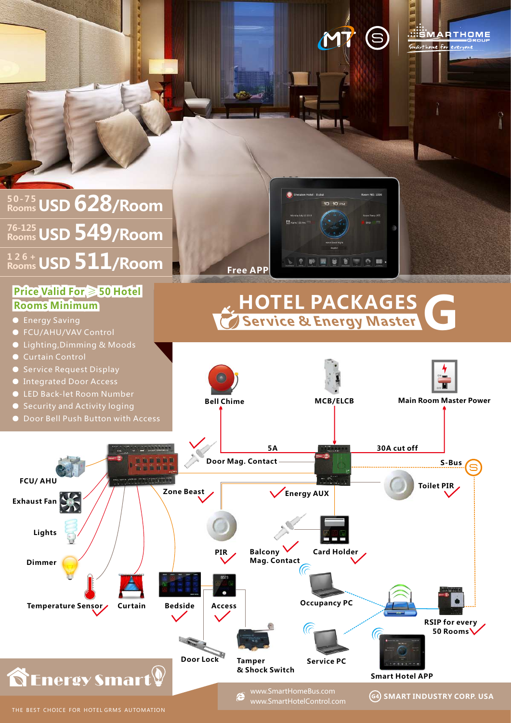(S **MARTHOME** Smarthome for  $m \, \rm M\Omega$  100 **USD 628/Room 50-75** 10:10 PM **Rooms USD 549/Room 76-125 Rooms USD 511/Room 1 2 6 +**  $6<sub>1</sub>$ **Rooms Free APP Price Valid For** ≥ **50 Hotel HOTEL PACKAGES G Rooms Minimum** ● Energy Saving **Service & Energy Master** ● FCU/AHU/VAV Control ● Lighting, Dimming & Moods ● Service Request Display ● Integrated Door Access **ON OFF** ● LED Back-let Room Number **Main Room Master Power Bell Chime MCB/ELCB**  ● Security and Activity loging ● Door Bell Push Button with Access **5A 30A cut off Door Mag. Contact S-Bus FCU/ AHU Toilet PIR Zone BeastEnergy AUX Exhaust Fan Lights** ÊFË **Balcony Card Holder PIR Mag. Contact Dimmer Occupancy PC Access Temperature Sensor Curtain Bedside RSIP for every 50 Rooms**

**SEnergy Smart** 

www.SmartHomeBus.com e www.SmartHotelControl.com

**& Shock Switch**

**Door Lock Tamper** 

**Service PC**

**SMART INDUSTRY CORP. USA**

**Smart Hotel APP**